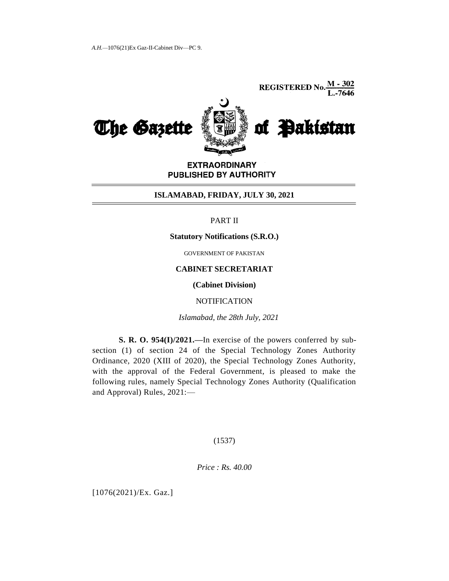**REGISTERED No.**  $\frac{M - 302}{L - 7646}$ 



**EXTRAORDINARY** PUBLISHED BY AUTHORITY

## **ISLAMABAD, FRIDAY, JULY 30, 2021**

# PART II

#### **Statutory Notifications (S.R.O.)**

GOVERNMENT OF PAKISTAN

# **CABINET SECRETARIAT**

**(Cabinet Division)**

**NOTIFICATION** 

*Islamabad, the 28th July, 2021*

**S. R. O. 954(I)/2021.—**In exercise of the powers conferred by subsection (1) of section 24 of the Special Technology Zones Authority Ordinance, 2020 (XIII of 2020), the Special Technology Zones Authority, with the approval of the Federal Government, is pleased to make the following rules, namely Special Technology Zones Authority (Qualification and Approval) Rules, 2021:—

## (1537)

*Price : Rs. 40.00*

[1076(2021)/Ex. Gaz.]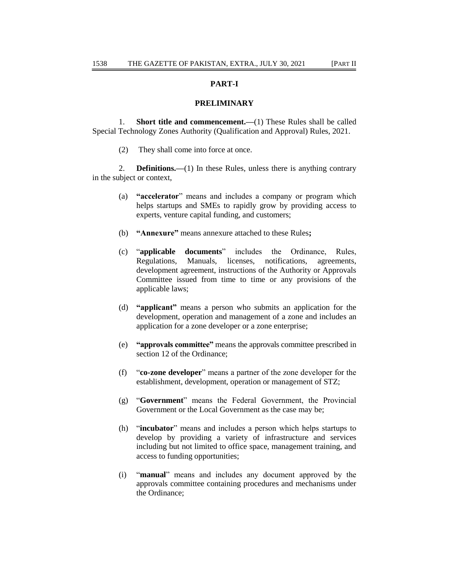# **PART-I**

#### **PRELIMINARY**

1. **Short title and commencement.—**(1) These Rules shall be called Special Technology Zones Authority (Qualification and Approval) Rules, 2021.

(2) They shall come into force at once.

2. **Definitions.—**(1) In these Rules, unless there is anything contrary in the subject or context,

- (a) **"accelerator**" means and includes a company or program which helps startups and SMEs to rapidly grow by providing access to experts, venture capital funding, and customers;
- (b) **"Annexure"** means annexure attached to these Rules**;**
- (c) ―**applicable documents**‖ includes the Ordinance, Rules, Regulations, Manuals, licenses, notifications, agreements, development agreement, instructions of the Authority or Approvals Committee issued from time to time or any provisions of the applicable laws;
- (d) **"applicant"** means a person who submits an application for the development, operation and management of a zone and includes an application for a zone developer or a zone enterprise;
- (e) **"approvals committee"** means the approvals committee prescribed in section 12 of the Ordinance;
- (f) **"co-zone developer"** means a partner of the zone developer for the establishment, development, operation or management of STZ;
- (g) ―**Government**‖ means the Federal Government, the Provincial Government or the Local Government as the case may be;
- (h) **"incubator"** means and includes a person which helps startups to develop by providing a variety of infrastructure and services including but not limited to office space, management training, and access to funding opportunities;
- (i) ―**manual**‖ means and includes any document approved by the approvals committee containing procedures and mechanisms under the Ordinance;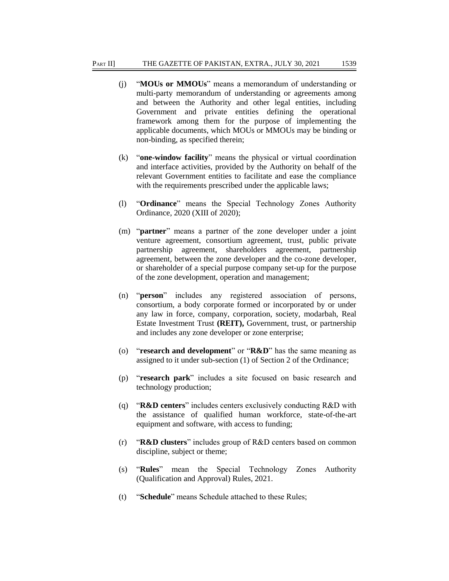- (j) **"MOUs or MMOUs"** means a memorandum of understanding or multi-party memorandum of understanding or agreements among and between the Authority and other legal entities, including Government and private entities defining the operational framework among them for the purpose of implementing the applicable documents, which MOUs or MMOUs may be binding or non-binding, as specified therein;
- (k) **"one-window facility"** means the physical or virtual coordination and interface activities, provided by the Authority on behalf of the relevant Government entities to facilitate and ease the compliance with the requirements prescribed under the applicable laws;
- (l) ―**Ordinance**‖ means the Special Technology Zones Authority Ordinance, 2020 (XIII of 2020);
- (m) "**partner**" means a partner of the zone developer under a joint venture agreement, consortium agreement, trust, public private partnership agreement, shareholders agreement, partnership agreement, between the zone developer and the co-zone developer, or shareholder of a special purpose company set-up for the purpose of the zone development, operation and management;
- (n) **"person"** includes any registered association of persons, consortium, a body corporate formed or incorporated by or under any law in force, company, corporation, society, modarbah, Real Estate Investment Trust **(REIT),** Government, trust, or partnership and includes any zone developer or zone enterprise;
- (o) *research and development* or *R&D* has the same meaning as assigned to it under sub-section (1) of Section 2 of the Ordinance;
- (p) ―**research park**‖ includes a site focused on basic research and technology production;
- (q) *H&D* **centers**" includes centers exclusively conducting R&D with the assistance of qualified human workforce, state-of-the-art equipment and software, with access to funding;
- (r) ―**R&D clusters**‖ includes group of R&D centers based on common discipline, subject or theme;
- (s) "Rules" mean the Special Technology Zones Authority (Qualification and Approval) Rules, 2021.
- (t) **"Schedule"** means Schedule attached to these Rules;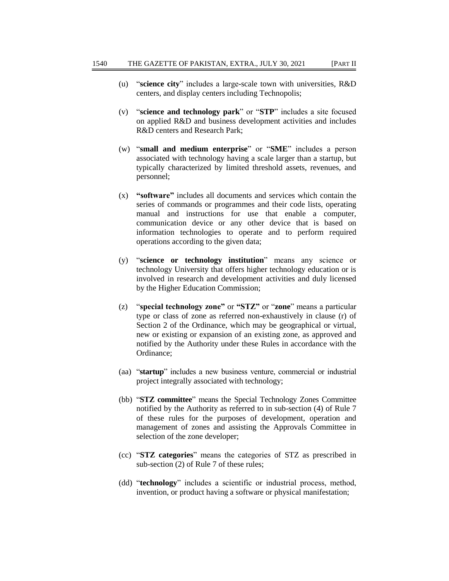- (u) **"science city"** includes a large-scale town with universities, R&D centers, and display centers including Technopolis;
- (v) ―**science and technology park**‖ or ―**STP**‖ includes a site focused on applied R&D and business development activities and includes R&D centers and Research Park;
- (w) **"small and medium enterprise"** or **"SME"** includes a person associated with technology having a scale larger than a startup, but typically characterized by limited threshold assets, revenues, and personnel;
- (x) **"software"** includes all documents and services which contain the series of commands or programmes and their code lists, operating manual and instructions for use that enable a computer, communication device or any other device that is based on information technologies to operate and to perform required operations according to the given data;
- (y) ―**science or technology institution**‖ means any science or technology University that offers higher technology education or is involved in research and development activities and duly licensed by the Higher Education Commission;
- (z) **"special technology zone"** or **"STZ"** or **"zone**" means a particular type or class of zone as referred non-exhaustively in clause (r) of Section 2 of the Ordinance, which may be geographical or virtual, new or existing or expansion of an existing zone, as approved and notified by the Authority under these Rules in accordance with the Ordinance;
- (aa) "startup" includes a new business venture, commercial or industrial project integrally associated with technology;
- (bb) "STZ committee" means the Special Technology Zones Committee notified by the Authority as referred to in sub-section (4) of Rule 7 of these rules for the purposes of development, operation and management of zones and assisting the Approvals Committee in selection of the zone developer;
- (cc) ―**STZ categories**‖ means the categories of STZ as prescribed in sub-section (2) of Rule 7 of these rules;
- (dd) "**technology**" includes a scientific or industrial process, method, invention, or product having a software or physical manifestation;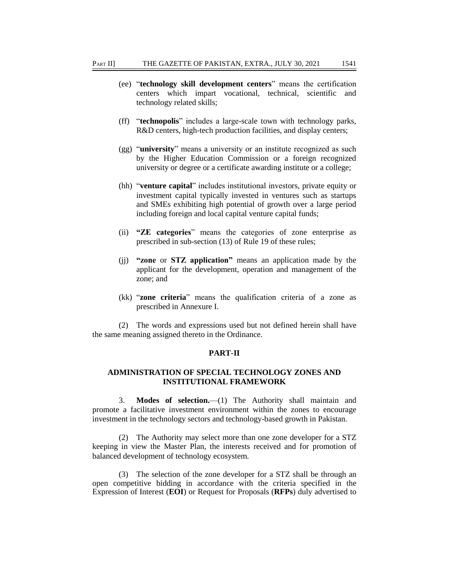- (ee) ―**technology skill development centers**‖ means the certification centers which impart vocational, technical, scientific and technology related skills;
- (ff) ―**technopolis**‖ includes a large-scale town with technology parks, R&D centers, high-tech production facilities, and display centers;
- (gg) "**university**" means a university or an institute recognized as such by the Higher Education Commission or a foreign recognized university or degree or a certificate awarding institute or a college;
- (hh) "**venture capital**" includes institutional investors, private equity or investment capital typically invested in ventures such as startups and SMEs exhibiting high potential of growth over a large period including foreign and local capital venture capital funds;
- (ii) **"ZE categories**‖ means the categories of zone enterprise as prescribed in sub-section (13) of Rule 19 of these rules;
- (jj) **"zone** or **STZ application"** means an application made by the applicant for the development, operation and management of the zone; and
- (kk) "**zone criteria**" means the qualification criteria of a zone as prescribed in Annexure I.

(2) The words and expressions used but not defined herein shall have the same meaning assigned thereto in the Ordinance.

## **PART-II**

# **ADMINISTRATION OF SPECIAL TECHNOLOGY ZONES AND INSTITUTIONAL FRAMEWORK**

3. **Modes of selection.**—(1) The Authority shall maintain and promote a facilitative investment environment within the zones to encourage investment in the technology sectors and technology-based growth in Pakistan.

(2) The Authority may select more than one zone developer for a STZ keeping in view the Master Plan, the interests received and for promotion of balanced development of technology ecosystem.

(3) The selection of the zone developer for a STZ shall be through an open competitive bidding in accordance with the criteria specified in the Expression of Interest (**EOI**) or Request for Proposals (**RFPs**) duly advertised to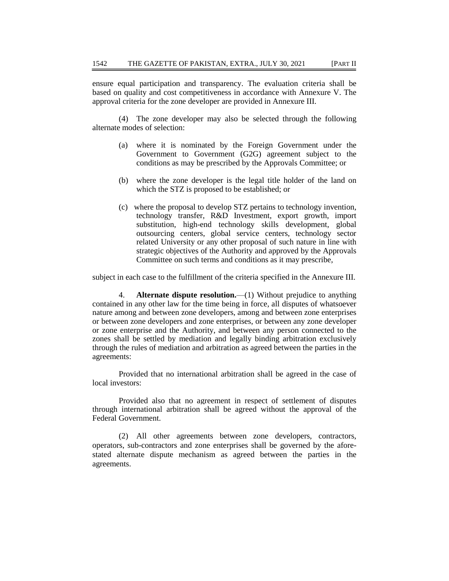ensure equal participation and transparency. The evaluation criteria shall be based on quality and cost competitiveness in accordance with Annexure V. The approval criteria for the zone developer are provided in Annexure III.

(4) The zone developer may also be selected through the following alternate modes of selection:

- (a) where it is nominated by the Foreign Government under the Government to Government (G2G) agreement subject to the conditions as may be prescribed by the Approvals Committee; or
- (b) where the zone developer is the legal title holder of the land on which the STZ is proposed to be established; or
- (c) where the proposal to develop STZ pertains to technology invention, technology transfer, R&D Investment, export growth, import substitution, high-end technology skills development, global outsourcing centers, global service centers, technology sector related University or any other proposal of such nature in line with strategic objectives of the Authority and approved by the Approvals Committee on such terms and conditions as it may prescribe,

subject in each case to the fulfillment of the criteria specified in the Annexure III.

4. **Alternate dispute resolution.**—(1) Without prejudice to anything contained in any other law for the time being in force, all disputes of whatsoever nature among and between zone developers, among and between zone enterprises or between zone developers and zone enterprises, or between any zone developer or zone enterprise and the Authority, and between any person connected to the zones shall be settled by mediation and legally binding arbitration exclusively through the rules of mediation and arbitration as agreed between the parties in the agreements:

Provided that no international arbitration shall be agreed in the case of local investors:

Provided also that no agreement in respect of settlement of disputes through international arbitration shall be agreed without the approval of the Federal Government.

(2) All other agreements between zone developers, contractors, operators, sub-contractors and zone enterprises shall be governed by the aforestated alternate dispute mechanism as agreed between the parties in the agreements.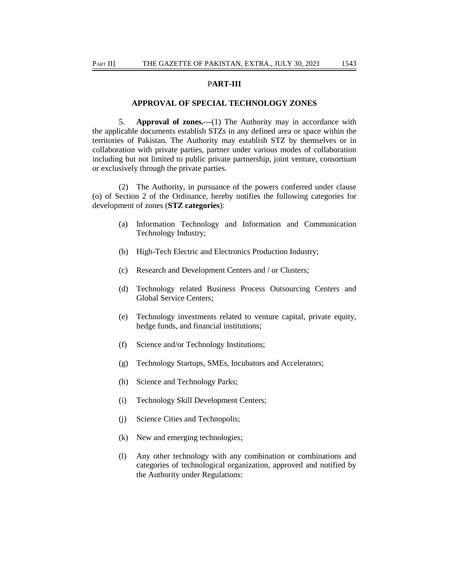## P**ART-III**

#### **APPROVAL OF SPECIAL TECHNOLOGY ZONES**

5. **Approval of zones.—**(1) The Authority may in accordance with the applicable documents establish STZs in any defined area or space within the territories of Pakistan. The Authority may establish STZ by themselves or in collaboration with private parties, partner under various modes of collaboration including but not limited to public private partnership, joint venture, consortium or exclusively through the private parties.

(2) The Authority, in pursuance of the powers conferred under clause (o) of Section 2 of the Ordinance, hereby notifies the following categories for development of zones (**STZ categories**):

- (a) Information Technology and Information and Communication Technology Industry;
- (b) High-Tech Electric and Electronics Production Industry;
- (c) Research and Development Centers and / or Clusters;
- (d) Technology related Business Process Outsourcing Centers and Global Service Centers;
- (e) Technology investments related to venture capital, private equity, hedge funds, and financial institutions;
- (f) Science and/or Technology Institutions;
- (g) Technology Startups, SMEs, Incubators and Accelerators;
- (h) Science and Technology Parks;
- (i) Technology Skill Development Centers;
- (j) Science Cities and Technopolis;
- (k) New and emerging technologies;
- (l) Any other technology with any combination or combinations and categories of technological organization, approved and notified by the Authority under Regulations: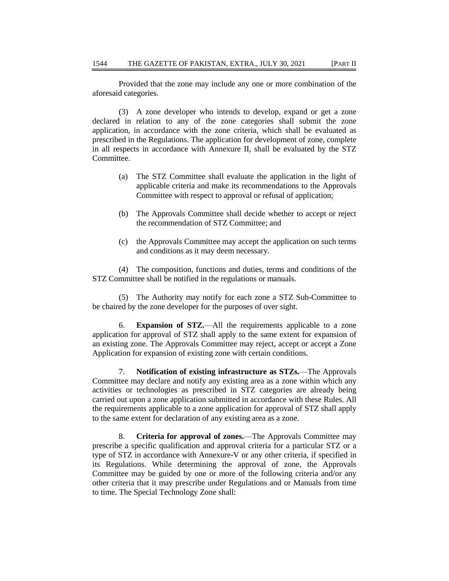Provided that the zone may include any one or more combination of the aforesaid categories.

(3) A zone developer who intends to develop, expand or get a zone declared in relation to any of the zone categories shall submit the zone application, in accordance with the zone criteria, which shall be evaluated as prescribed in the Regulations. The application for development of zone, complete in all respects in accordance with Annexure II, shall be evaluated by the STZ Committee.

- (a) The STZ Committee shall evaluate the application in the light of applicable criteria and make its recommendations to the Approvals Committee with respect to approval or refusal of application;
- (b) The Approvals Committee shall decide whether to accept or reject the recommendation of STZ Committee; and
- (c) the Approvals Committee may accept the application on such terms and conditions as it may deem necessary.

(4) The composition, functions and duties, terms and conditions of the STZ Committee shall be notified in the regulations or manuals.

(5) The Authority may notify for each zone a STZ Sub-Committee to be chaired by the zone developer for the purposes of over sight.

6. **Expansion of STZ.**—All the requirements applicable to a zone application for approval of STZ shall apply to the same extent for expansion of an existing zone. The Approvals Committee may reject, accept or accept a Zone Application for expansion of existing zone with certain conditions.

7. **Notification of existing infrastructure as STZs.**—The Approvals Committee may declare and notify any existing area as a zone within which any activities or technologies as prescribed in STZ categories are already being carried out upon a zone application submitted in accordance with these Rules. All the requirements applicable to a zone application for approval of STZ shall apply to the same extent for declaration of any existing area as a zone.

8. **Criteria for approval of zones.**—The Approvals Committee may prescribe a specific qualification and approval criteria for a particular STZ or a type of STZ in accordance with Annexure-V or any other criteria, if specified in its Regulations. While determining the approval of zone, the Approvals Committee may be guided by one or more of the following criteria and/or any other criteria that it may prescribe under Regulations and or Manuals from time to time. The Special Technology Zone shall: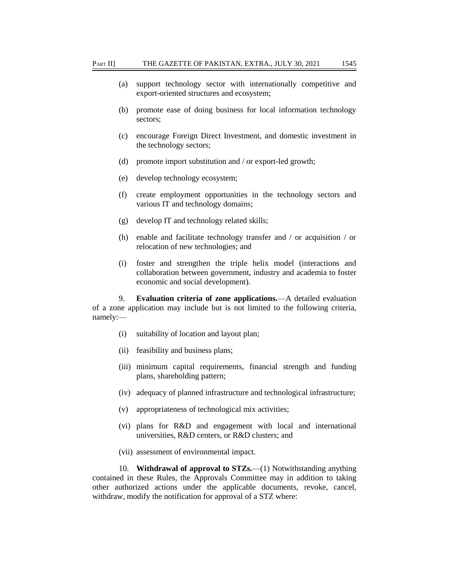- (a) support technology sector with internationally competitive and export-oriented structures and ecosystem;
- (b) promote ease of doing business for local information technology sectors;
- (c) encourage Foreign Direct Investment, and domestic investment in the technology sectors;
- (d) promote import substitution and / or export-led growth;
- (e) develop technology ecosystem;
- (f) create employment opportunities in the technology sectors and various IT and technology domains;
- (g) develop IT and technology related skills;
- (h) enable and facilitate technology transfer and / or acquisition / or relocation of new technologies; and
- (i) foster and strengthen the triple helix model (interactions and collaboration between government, industry and academia to foster economic and social development).

9. **Evaluation criteria of zone applications.**—A detailed evaluation of a zone application may include but is not limited to the following criteria, namely:—

- (i) suitability of location and layout plan;
- (ii) feasibility and business plans;
- (iii) minimum capital requirements, financial strength and funding plans, shareholding pattern;
- (iv) adequacy of planned infrastructure and technological infrastructure;
- (v) appropriateness of technological mix activities;
- (vi) plans for R&D and engagement with local and international universities, R&D centers, or R&D clusters; and
- (vii) assessment of environmental impact.

10. **Withdrawal of approval to STZs.**—(1) Notwithstanding anything contained in these Rules, the Approvals Committee may in addition to taking other authorized actions under the applicable documents, revoke, cancel, withdraw, modify the notification for approval of a STZ where: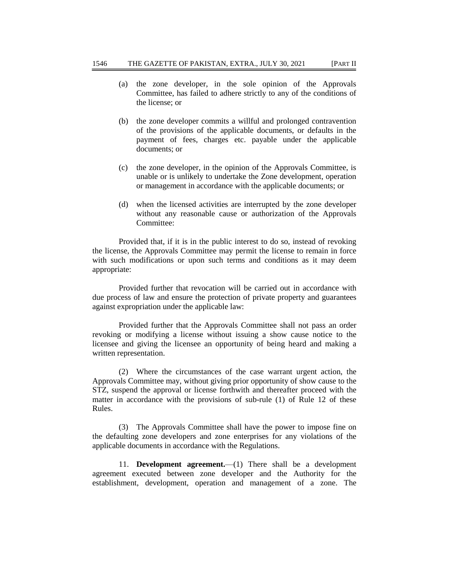- (a) the zone developer, in the sole opinion of the Approvals Committee, has failed to adhere strictly to any of the conditions of the license; or
- (b) the zone developer commits a willful and prolonged contravention of the provisions of the applicable documents, or defaults in the payment of fees, charges etc. payable under the applicable documents; or
- (c) the zone developer, in the opinion of the Approvals Committee, is unable or is unlikely to undertake the Zone development, operation or management in accordance with the applicable documents; or
- (d) when the licensed activities are interrupted by the zone developer without any reasonable cause or authorization of the Approvals Committee:

Provided that, if it is in the public interest to do so, instead of revoking the license, the Approvals Committee may permit the license to remain in force with such modifications or upon such terms and conditions as it may deem appropriate:

Provided further that revocation will be carried out in accordance with due process of law and ensure the protection of private property and guarantees against expropriation under the applicable law:

Provided further that the Approvals Committee shall not pass an order revoking or modifying a license without issuing a show cause notice to the licensee and giving the licensee an opportunity of being heard and making a written representation.

(2) Where the circumstances of the case warrant urgent action, the Approvals Committee may, without giving prior opportunity of show cause to the STZ, suspend the approval or license forthwith and thereafter proceed with the matter in accordance with the provisions of sub-rule (1) of Rule 12 of these Rules.

(3) The Approvals Committee shall have the power to impose fine on the defaulting zone developers and zone enterprises for any violations of the applicable documents in accordance with the Regulations.

11. **Development agreement.**—(1) There shall be a development agreement executed between zone developer and the Authority for the establishment, development, operation and management of a zone. The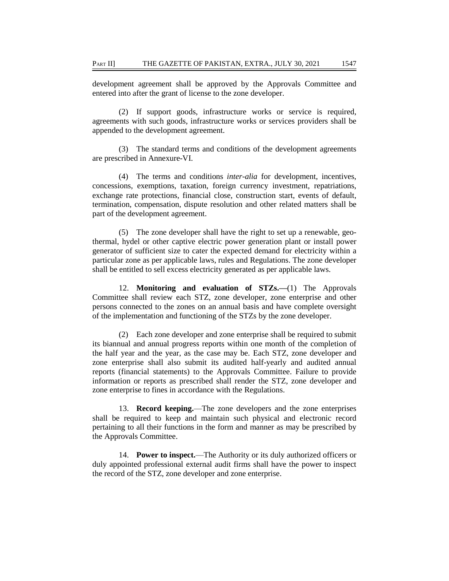development agreement shall be approved by the Approvals Committee and entered into after the grant of license to the zone developer.

(2) If support goods, infrastructure works or service is required, agreements with such goods, infrastructure works or services providers shall be appended to the development agreement.

(3) The standard terms and conditions of the development agreements are prescribed in Annexure-VI.

(4) The terms and conditions *inter-alia* for development, incentives, concessions, exemptions, taxation, foreign currency investment, repatriations, exchange rate protections, financial close, construction start, events of default, termination, compensation, dispute resolution and other related matters shall be part of the development agreement.

(5) The zone developer shall have the right to set up a renewable, geothermal, hydel or other captive electric power generation plant or install power generator of sufficient size to cater the expected demand for electricity within a particular zone as per applicable laws, rules and Regulations. The zone developer shall be entitled to sell excess electricity generated as per applicable laws.

12. **Monitoring and evaluation of STZs.—**(1) The Approvals Committee shall review each STZ, zone developer, zone enterprise and other persons connected to the zones on an annual basis and have complete oversight of the implementation and functioning of the STZs by the zone developer.

(2) Each zone developer and zone enterprise shall be required to submit its biannual and annual progress reports within one month of the completion of the half year and the year, as the case may be. Each STZ, zone developer and zone enterprise shall also submit its audited half-yearly and audited annual reports (financial statements) to the Approvals Committee. Failure to provide information or reports as prescribed shall render the STZ, zone developer and zone enterprise to fines in accordance with the Regulations.

13. **Record keeping.**—The zone developers and the zone enterprises shall be required to keep and maintain such physical and electronic record pertaining to all their functions in the form and manner as may be prescribed by the Approvals Committee.

14. **Power to inspect.**—The Authority or its duly authorized officers or duly appointed professional external audit firms shall have the power to inspect the record of the STZ, zone developer and zone enterprise.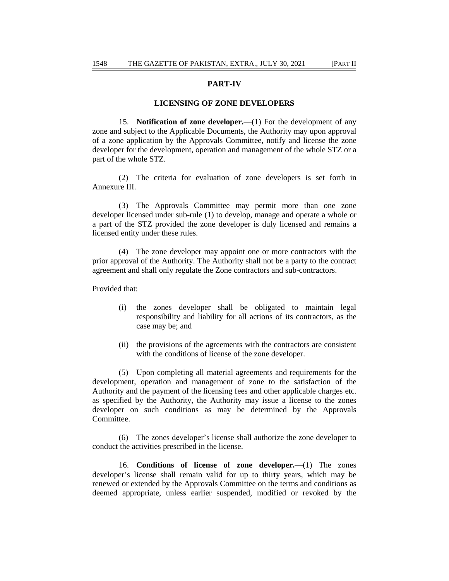# **PART-IV**

#### **LICENSING OF ZONE DEVELOPERS**

15. **Notification of zone developer.**—(1) For the development of any zone and subject to the Applicable Documents, the Authority may upon approval of a zone application by the Approvals Committee, notify and license the zone developer for the development, operation and management of the whole STZ or a part of the whole STZ.

(2) The criteria for evaluation of zone developers is set forth in Annexure III.

(3) The Approvals Committee may permit more than one zone developer licensed under sub-rule (1) to develop, manage and operate a whole or a part of the STZ provided the zone developer is duly licensed and remains a licensed entity under these rules.

(4) The zone developer may appoint one or more contractors with the prior approval of the Authority. The Authority shall not be a party to the contract agreement and shall only regulate the Zone contractors and sub-contractors.

Provided that:

- (i) the zones developer shall be obligated to maintain legal responsibility and liability for all actions of its contractors, as the case may be; and
- (ii) the provisions of the agreements with the contractors are consistent with the conditions of license of the zone developer.

(5) Upon completing all material agreements and requirements for the development, operation and management of zone to the satisfaction of the Authority and the payment of the licensing fees and other applicable charges etc. as specified by the Authority, the Authority may issue a license to the zones developer on such conditions as may be determined by the Approvals Committee.

(6) The zones developer's license shall authorize the zone developer to conduct the activities prescribed in the license.

16. **Conditions of license of zone developer.—**(1) The zones developer's license shall remain valid for up to thirty years, which may be renewed or extended by the Approvals Committee on the terms and conditions as deemed appropriate, unless earlier suspended, modified or revoked by the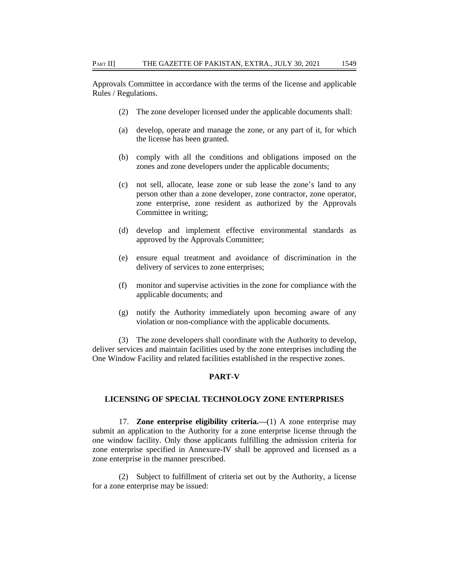Approvals Committee in accordance with the terms of the license and applicable Rules / Regulations.

- (2) The zone developer licensed under the applicable documents shall:
- (a) develop, operate and manage the zone, or any part of it, for which the license has been granted.
- (b) comply with all the conditions and obligations imposed on the zones and zone developers under the applicable documents;
- (c) not sell, allocate, lease zone or sub lease the zone's land to any person other than a zone developer, zone contractor, zone operator, zone enterprise, zone resident as authorized by the Approvals Committee in writing;
- (d) develop and implement effective environmental standards as approved by the Approvals Committee;
- (e) ensure equal treatment and avoidance of discrimination in the delivery of services to zone enterprises;
- (f) monitor and supervise activities in the zone for compliance with the applicable documents; and
- (g) notify the Authority immediately upon becoming aware of any violation or non-compliance with the applicable documents.

(3) The zone developers shall coordinate with the Authority to develop, deliver services and maintain facilities used by the zone enterprises including the One Window Facility and related facilities established in the respective zones.

## **PART-V**

## **LICENSING OF SPECIAL TECHNOLOGY ZONE ENTERPRISES**

17. **Zone enterprise eligibility criteria.—**(1) A zone enterprise may submit an application to the Authority for a zone enterprise license through the one window facility. Only those applicants fulfilling the admission criteria for zone enterprise specified in Annexure-IV shall be approved and licensed as a zone enterprise in the manner prescribed.

(2) Subject to fulfillment of criteria set out by the Authority, a license for a zone enterprise may be issued: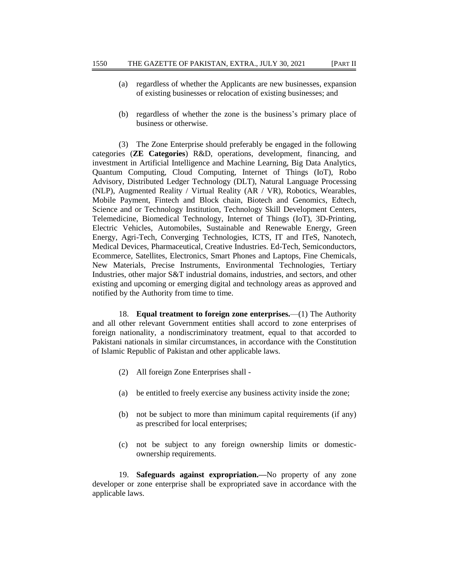- (a) regardless of whether the Applicants are new businesses, expansion of existing businesses or relocation of existing businesses; and
- (b) regardless of whether the zone is the business's primary place of business or otherwise.

(3) The Zone Enterprise should preferably be engaged in the following categories (**ZE Categories**) R&D, operations, development, financing, and investment in Artificial Intelligence and Machine Learning, Big Data Analytics, Quantum Computing, Cloud Computing, Internet of Things (IoT), Robo Advisory, Distributed Ledger Technology (DLT), Natural Language Processing (NLP), Augmented Reality / Virtual Reality (AR / VR), Robotics, Wearables, Mobile Payment, Fintech and Block chain, Biotech and Genomics, Edtech, Science and or Technology Institution, Technology Skill Development Centers, Telemedicine, Biomedical Technology, Internet of Things (IoT), 3D-Printing, Electric Vehicles, Automobiles, Sustainable and Renewable Energy, Green Energy, Agri-Tech, Converging Technologies, ICTS, IT and ITeS, Nanotech, Medical Devices, Pharmaceutical, Creative Industries. Ed-Tech, Semiconductors, Ecommerce, Satellites, Electronics, Smart Phones and Laptops, Fine Chemicals, New Materials, Precise Instruments, Environmental Technologies, Tertiary Industries, other major S&T industrial domains, industries, and sectors, and other existing and upcoming or emerging digital and technology areas as approved and notified by the Authority from time to time.

18. **Equal treatment to foreign zone enterprises.**—(1) The Authority and all other relevant Government entities shall accord to zone enterprises of foreign nationality, a nondiscriminatory treatment, equal to that accorded to Pakistani nationals in similar circumstances, in accordance with the Constitution of Islamic Republic of Pakistan and other applicable laws.

- (2) All foreign Zone Enterprises shall -
- (a) be entitled to freely exercise any business activity inside the zone;
- (b) not be subject to more than minimum capital requirements (if any) as prescribed for local enterprises;
- (c) not be subject to any foreign ownership limits or domesticownership requirements.

19. **Safeguards against expropriation.—**No property of any zone developer or zone enterprise shall be expropriated save in accordance with the applicable laws.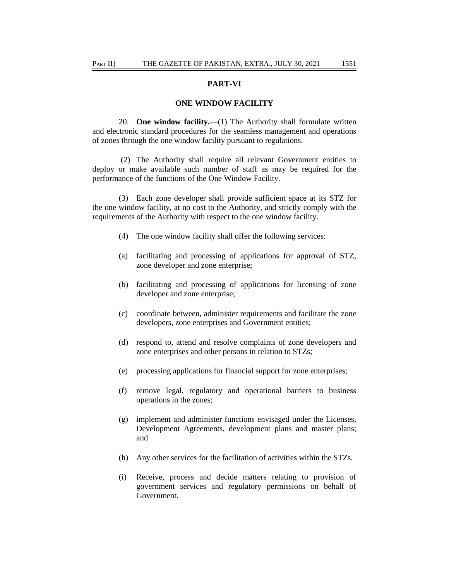# **PART-VI**

### **ONE WINDOW FACILITY**

20. **One window facility.**—(1) The Authority shall formulate written and electronic standard procedures for the seamless management and operations of zones through the one window facility pursuant to regulations.

(2) The Authority shall require all relevant Government entities to deploy or make available such number of staff as may be required for the performance of the functions of the One Window Facility.

(3) Each zone developer shall provide sufficient space at its STZ for the one window facility, at no cost to the Authority, and strictly comply with the requirements of the Authority with respect to the one window facility.

- (4) The one window facility shall offer the following services:
- (a) facilitating and processing of applications for approval of STZ, zone developer and zone enterprise;
- (b) facilitating and processing of applications for licensing of zone developer and zone enterprise;
- (c) coordinate between, administer requirements and facilitate the zone developers, zone enterprises and Government entities;
- (d) respond to, attend and resolve complaints of zone developers and zone enterprises and other persons in relation to STZs;
- (e) processing applications for financial support for zone enterprises;
- (f) remove legal, regulatory and operational barriers to business operations in the zones;
- (g) implement and administer functions envisaged under the Licenses, Development Agreements, development plans and master plans; and
- (h) Any other services for the facilitation of activities within the STZs.
- (i) Receive, process and decide matters relating to provision of government services and regulatory permissions on behalf of Government.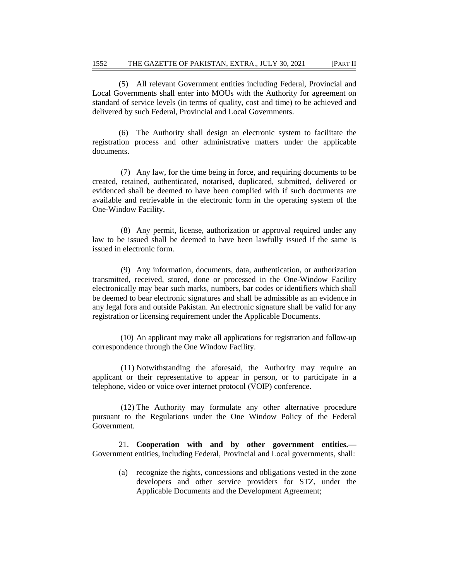(5) All relevant Government entities including Federal, Provincial and Local Governments shall enter into MOUs with the Authority for agreement on standard of service levels (in terms of quality, cost and time) to be achieved and delivered by such Federal, Provincial and Local Governments.

(6) The Authority shall design an electronic system to facilitate the registration process and other administrative matters under the applicable documents.

(7) Any law, for the time being in force, and requiring documents to be created, retained, authenticated, notarised, duplicated, submitted, delivered or evidenced shall be deemed to have been complied with if such documents are available and retrievable in the electronic form in the operating system of the One-Window Facility.

(8) Any permit, license, authorization or approval required under any law to be issued shall be deemed to have been lawfully issued if the same is issued in electronic form.

(9) Any information, documents, data, authentication, or authorization transmitted, received, stored, done or processed in the One-Window Facility electronically may bear such marks, numbers, bar codes or identifiers which shall be deemed to bear electronic signatures and shall be admissible as an evidence in any legal fora and outside Pakistan. An electronic signature shall be valid for any registration or licensing requirement under the Applicable Documents.

(10) An applicant may make all applications for registration and follow-up correspondence through the One Window Facility.

(11) Notwithstanding the aforesaid, the Authority may require an applicant or their representative to appear in person, or to participate in a telephone, video or voice over internet protocol (VOIP) conference.

(12) The Authority may formulate any other alternative procedure pursuant to the Regulations under the One Window Policy of the Federal Government.

21. **Cooperation with and by other government entities.—** Government entities, including Federal, Provincial and Local governments, shall:

(a) recognize the rights, concessions and obligations vested in the zone developers and other service providers for STZ, under the Applicable Documents and the Development Agreement;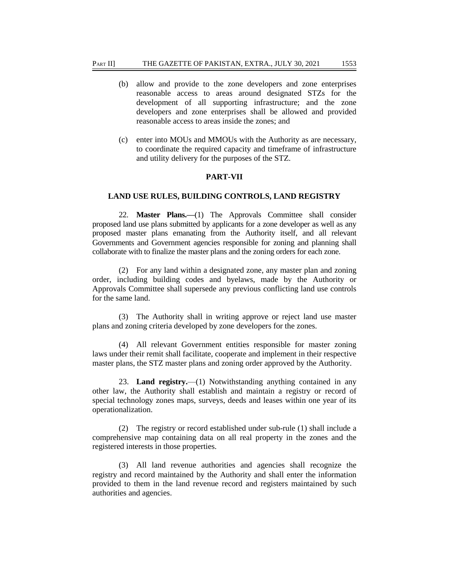- (b) allow and provide to the zone developers and zone enterprises reasonable access to areas around designated STZs for the development of all supporting infrastructure; and the zone developers and zone enterprises shall be allowed and provided reasonable access to areas inside the zones; and
- (c) enter into MOUs and MMOUs with the Authority as are necessary, to coordinate the required capacity and timeframe of infrastructure and utility delivery for the purposes of the STZ.

#### **PART-VII**

#### **LAND USE RULES, BUILDING CONTROLS, LAND REGISTRY**

22. **Master Plans.—**(1) The Approvals Committee shall consider proposed land use plans submitted by applicants for a zone developer as well as any proposed master plans emanating from the Authority itself, and all relevant Governments and Government agencies responsible for zoning and planning shall collaborate with to finalize the master plans and the zoning orders for each zone.

(2) For any land within a designated zone, any master plan and zoning order, including building codes and byelaws, made by the Authority or Approvals Committee shall supersede any previous conflicting land use controls for the same land.

(3) The Authority shall in writing approve or reject land use master plans and zoning criteria developed by zone developers for the zones.

(4) All relevant Government entities responsible for master zoning laws under their remit shall facilitate, cooperate and implement in their respective master plans, the STZ master plans and zoning order approved by the Authority.

23. **Land registry.**—(1) Notwithstanding anything contained in any other law, the Authority shall establish and maintain a registry or record of special technology zones maps, surveys, deeds and leases within one year of its operationalization.

(2) The registry or record established under sub-rule (1) shall include a comprehensive map containing data on all real property in the zones and the registered interests in those properties.

(3) All land revenue authorities and agencies shall recognize the registry and record maintained by the Authority and shall enter the information provided to them in the land revenue record and registers maintained by such authorities and agencies.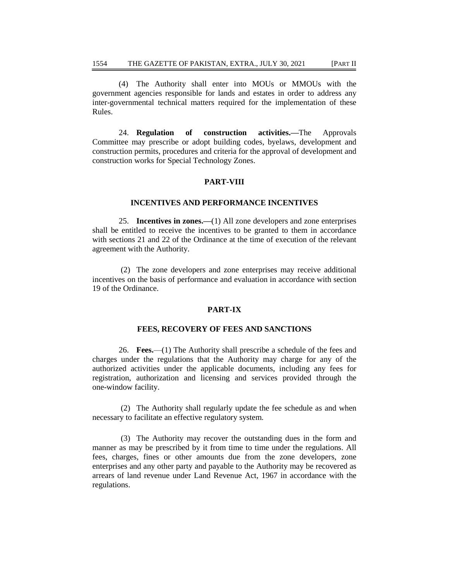(4) The Authority shall enter into MOUs or MMOUs with the government agencies responsible for lands and estates in order to address any inter-governmental technical matters required for the implementation of these Rules.

24. **Regulation of construction activities.—**The Approvals Committee may prescribe or adopt building codes, byelaws, development and construction permits, procedures and criteria for the approval of development and construction works for Special Technology Zones.

# **PART-VIII**

# **INCENTIVES AND PERFORMANCE INCENTIVES**

25. **Incentives in zones.—**(1) All zone developers and zone enterprises shall be entitled to receive the incentives to be granted to them in accordance with sections 21 and 22 of the Ordinance at the time of execution of the relevant agreement with the Authority.

(2) The zone developers and zone enterprises may receive additional incentives on the basis of performance and evaluation in accordance with section 19 of the Ordinance.

### **PART-IX**

## **FEES, RECOVERY OF FEES AND SANCTIONS**

26. **Fees.**—(1) The Authority shall prescribe a schedule of the fees and charges under the regulations that the Authority may charge for any of the authorized activities under the applicable documents, including any fees for registration, authorization and licensing and services provided through the one-window facility.

(2) The Authority shall regularly update the fee schedule as and when necessary to facilitate an effective regulatory system.

(3) The Authority may recover the outstanding dues in the form and manner as may be prescribed by it from time to time under the regulations. All fees, charges, fines or other amounts due from the zone developers, zone enterprises and any other party and payable to the Authority may be recovered as arrears of land revenue under Land Revenue Act, 1967 in accordance with the regulations.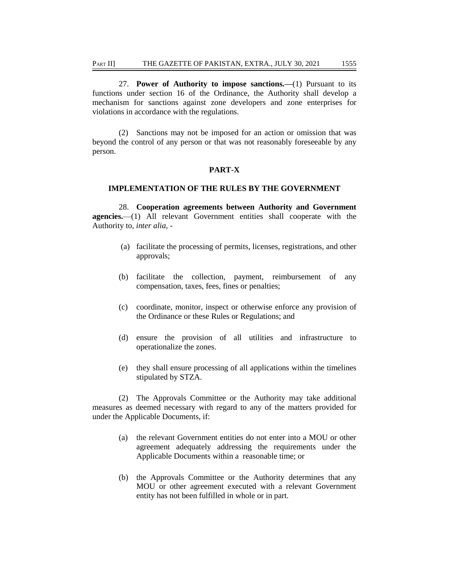27. **Power of Authority to impose sanctions.—**(1) Pursuant to its functions under section 16 of the Ordinance, the Authority shall develop a mechanism for sanctions against zone developers and zone enterprises for violations in accordance with the regulations.

(2) Sanctions may not be imposed for an action or omission that was beyond the control of any person or that was not reasonably foreseeable by any person.

### **PART-X**

#### **IMPLEMENTATION OF THE RULES BY THE GOVERNMENT**

28. **Cooperation agreements between Authority and Government agencies.**—(1) All relevant Government entities shall cooperate with the Authority to, *inter alia*, -

- (a) facilitate the processing of permits, licenses, registrations, and other approvals;
- (b) facilitate the collection, payment, reimbursement of any compensation, taxes, fees, fines or penalties;
- (c) coordinate, monitor, inspect or otherwise enforce any provision of the Ordinance or these Rules or Regulations; and
- (d) ensure the provision of all utilities and infrastructure to operationalize the zones.
- (e) they shall ensure processing of all applications within the timelines stipulated by STZA.

(2) The Approvals Committee or the Authority may take additional measures as deemed necessary with regard to any of the matters provided for under the Applicable Documents, if:

- (a) the relevant Government entities do not enter into a MOU or other agreement adequately addressing the requirements under the Applicable Documents within a reasonable time; or
- (b) the Approvals Committee or the Authority determines that any MOU or other agreement executed with a relevant Government entity has not been fulfilled in whole or in part.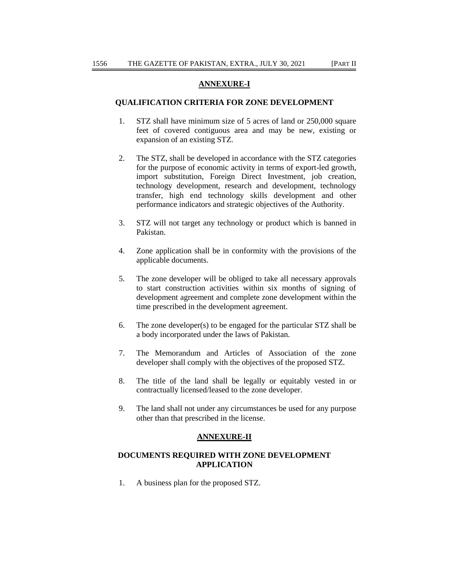# **ANNEXURE-I**

## **QUALIFICATION CRITERIA FOR ZONE DEVELOPMENT**

- 1. STZ shall have minimum size of 5 acres of land or 250,000 square feet of covered contiguous area and may be new, existing or expansion of an existing STZ.
- 2. The STZ, shall be developed in accordance with the STZ categories for the purpose of economic activity in terms of export-led growth, import substitution, Foreign Direct Investment, job creation, technology development, research and development, technology transfer, high end technology skills development and other performance indicators and strategic objectives of the Authority.
- 3. STZ will not target any technology or product which is banned in Pakistan.
- 4. Zone application shall be in conformity with the provisions of the applicable documents.
- 5. The zone developer will be obliged to take all necessary approvals to start construction activities within six months of signing of development agreement and complete zone development within the time prescribed in the development agreement.
- 6. The zone developer(s) to be engaged for the particular STZ shall be a body incorporated under the laws of Pakistan.
- 7. The Memorandum and Articles of Association of the zone developer shall comply with the objectives of the proposed STZ.
- 8. The title of the land shall be legally or equitably vested in or contractually licensed/leased to the zone developer.
- 9. The land shall not under any circumstances be used for any purpose other than that prescribed in the license.

#### **ANNEXURE-II**

# **DOCUMENTS REQUIRED WITH ZONE DEVELOPMENT APPLICATION**

1. A business plan for the proposed STZ.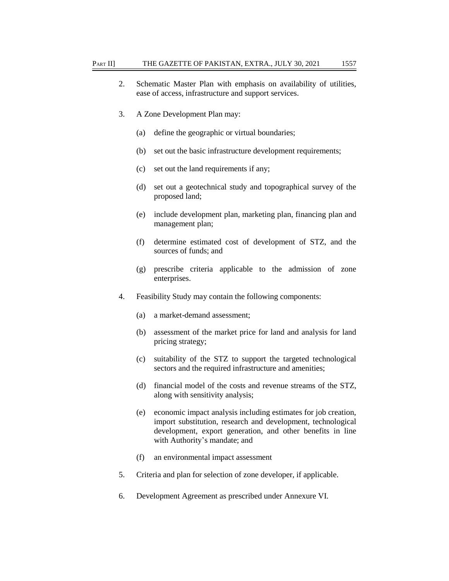- 2. Schematic Master Plan with emphasis on availability of utilities, ease of access, infrastructure and support services.
- 3. A Zone Development Plan may:
	- (a) define the geographic or virtual boundaries;
	- (b) set out the basic infrastructure development requirements;
	- (c) set out the land requirements if any;
	- (d) set out a geotechnical study and topographical survey of the proposed land;
	- (e) include development plan, marketing plan, financing plan and management plan;
	- (f) determine estimated cost of development of STZ, and the sources of funds; and
	- (g) prescribe criteria applicable to the admission of zone enterprises.
- 4. Feasibility Study may contain the following components:
	- (a) a market-demand assessment;
	- (b) assessment of the market price for land and analysis for land pricing strategy;
	- (c) suitability of the STZ to support the targeted technological sectors and the required infrastructure and amenities;
	- (d) financial model of the costs and revenue streams of the STZ, along with sensitivity analysis;
	- (e) economic impact analysis including estimates for job creation, import substitution, research and development, technological development, export generation, and other benefits in line with Authority's mandate; and
	- (f) an environmental impact assessment
- 5. Criteria and plan for selection of zone developer, if applicable.
- 6. Development Agreement as prescribed under Annexure VI.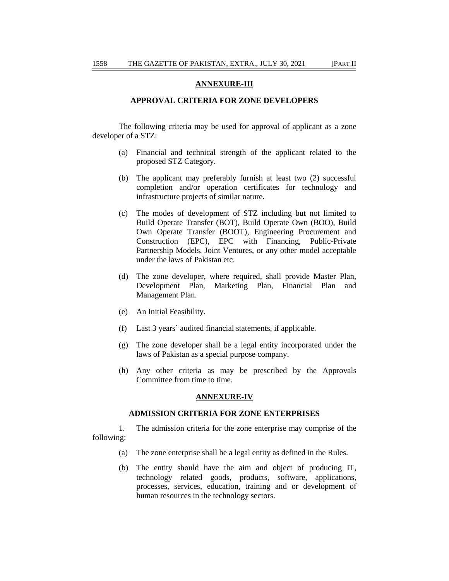# **ANNEXURE-III**

## **APPROVAL CRITERIA FOR ZONE DEVELOPERS**

The following criteria may be used for approval of applicant as a zone developer of a STZ:

- (a) Financial and technical strength of the applicant related to the proposed STZ Category.
- (b) The applicant may preferably furnish at least two (2) successful completion and/or operation certificates for technology and infrastructure projects of similar nature.
- (c) The modes of development of STZ including but not limited to Build Operate Transfer (BOT), Build Operate Own (BOO), Build Own Operate Transfer (BOOT), Engineering Procurement and Construction (EPC), EPC with Financing, Public-Private Partnership Models, Joint Ventures, or any other model acceptable under the laws of Pakistan etc.
- (d) The zone developer, where required, shall provide Master Plan, Development Plan, Marketing Plan, Financial Plan and Management Plan.
- (e) An Initial Feasibility.
- (f) Last 3 years' audited financial statements, if applicable.
- (g) The zone developer shall be a legal entity incorporated under the laws of Pakistan as a special purpose company.
- (h) Any other criteria as may be prescribed by the Approvals Committee from time to time.

#### **ANNEXURE-IV**

#### **ADMISSION CRITERIA FOR ZONE ENTERPRISES**

1. The admission criteria for the zone enterprise may comprise of the following:

- (a) The zone enterprise shall be a legal entity as defined in the Rules.
- (b) The entity should have the aim and object of producing IT, technology related goods, products, software, applications, processes, services, education, training and or development of human resources in the technology sectors.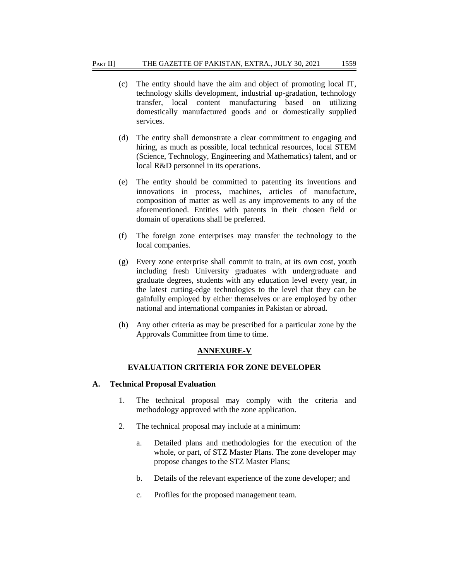- (c) The entity should have the aim and object of promoting local IT, technology skills development, industrial up-gradation, technology transfer, local content manufacturing based on utilizing domestically manufactured goods and or domestically supplied services.
- (d) The entity shall demonstrate a clear commitment to engaging and hiring, as much as possible, local technical resources, local STEM (Science, Technology, Engineering and Mathematics) talent, and or local R&D personnel in its operations.
- (e) The entity should be committed to patenting its inventions and innovations in process, machines, articles of manufacture, composition of matter as well as any improvements to any of the aforementioned. Entities with patents in their chosen field or domain of operations shall be preferred.
- (f) The foreign zone enterprises may transfer the technology to the local companies.
- (g) Every zone enterprise shall commit to train, at its own cost, youth including fresh University graduates with undergraduate and graduate degrees, students with any education level every year, in the latest cutting-edge technologies to the level that they can be gainfully employed by either themselves or are employed by other national and international companies in Pakistan or abroad.
- (h) Any other criteria as may be prescribed for a particular zone by the Approvals Committee from time to time.

## **ANNEXURE-V**

# **EVALUATION CRITERIA FOR ZONE DEVELOPER**

## **A. Technical Proposal Evaluation**

- 1. The technical proposal may comply with the criteria and methodology approved with the zone application.
- 2. The technical proposal may include at a minimum:
	- a. Detailed plans and methodologies for the execution of the whole, or part, of STZ Master Plans. The zone developer may propose changes to the STZ Master Plans;
	- b. Details of the relevant experience of the zone developer; and
	- c. Profiles for the proposed management team.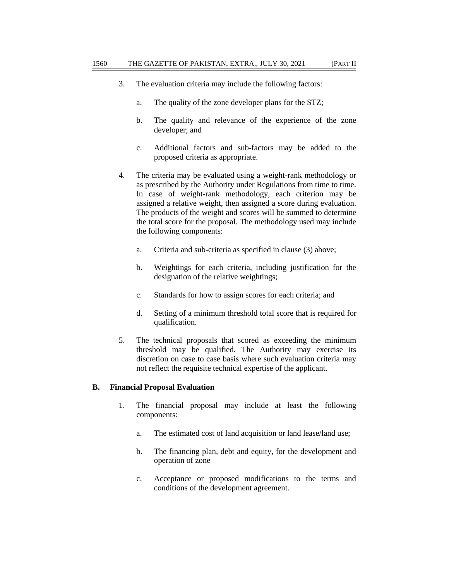- 3. The evaluation criteria may include the following factors:
	- a. The quality of the zone developer plans for the STZ;
	- b. The quality and relevance of the experience of the zone developer; and
	- c. Additional factors and sub-factors may be added to the proposed criteria as appropriate.
- 4. The criteria may be evaluated using a weight-rank methodology or as prescribed by the Authority under Regulations from time to time. In case of weight-rank methodology, each criterion may be assigned a relative weight, then assigned a score during evaluation. The products of the weight and scores will be summed to determine the total score for the proposal. The methodology used may include the following components:
	- a. Criteria and sub-criteria as specified in clause (3) above;
	- b. Weightings for each criteria, including justification for the designation of the relative weightings;
	- c. Standards for how to assign scores for each criteria; and
	- d. Setting of a minimum threshold total score that is required for qualification.
- 5. The technical proposals that scored as exceeding the minimum threshold may be qualified. The Authority may exercise its discretion on case to case basis where such evaluation criteria may not reflect the requisite technical expertise of the applicant.

# **B. Financial Proposal Evaluation**

- 1. The financial proposal may include at least the following components:
	- a. The estimated cost of land acquisition or land lease/land use;
	- b. The financing plan, debt and equity, for the development and operation of zone
	- c. Acceptance or proposed modifications to the terms and conditions of the development agreement.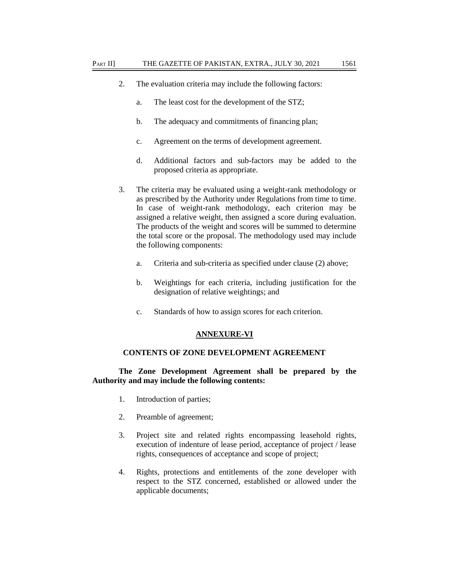- 2. The evaluation criteria may include the following factors:
	- a. The least cost for the development of the STZ;
	- b. The adequacy and commitments of financing plan;
	- c. Agreement on the terms of development agreement.
	- d. Additional factors and sub-factors may be added to the proposed criteria as appropriate.
- 3. The criteria may be evaluated using a weight-rank methodology or as prescribed by the Authority under Regulations from time to time. In case of weight-rank methodology, each criterion may be assigned a relative weight, then assigned a score during evaluation. The products of the weight and scores will be summed to determine the total score or the proposal. The methodology used may include the following components:
	- a. Criteria and sub-criteria as specified under clause (2) above;
	- b. Weightings for each criteria, including justification for the designation of relative weightings; and
	- c. Standards of how to assign scores for each criterion.

#### **ANNEXURE-VI**

## **CONTENTS OF ZONE DEVELOPMENT AGREEMENT**

**The Zone Development Agreement shall be prepared by the Authority and may include the following contents:**

- 1. Introduction of parties;
- 2. Preamble of agreement;
- 3. Project site and related rights encompassing leasehold rights, execution of indenture of lease period, acceptance of project / lease rights, consequences of acceptance and scope of project;
- 4. Rights, protections and entitlements of the zone developer with respect to the STZ concerned, established or allowed under the applicable documents;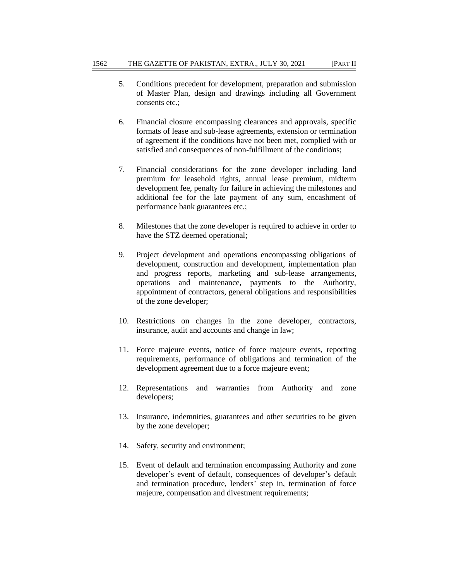- 5. Conditions precedent for development, preparation and submission of Master Plan, design and drawings including all Government consents etc.;
- 6. Financial closure encompassing clearances and approvals, specific formats of lease and sub-lease agreements, extension or termination of agreement if the conditions have not been met, complied with or satisfied and consequences of non-fulfillment of the conditions;
- 7. Financial considerations for the zone developer including land premium for leasehold rights, annual lease premium, midterm development fee, penalty for failure in achieving the milestones and additional fee for the late payment of any sum, encashment of performance bank guarantees etc.;
- 8. Milestones that the zone developer is required to achieve in order to have the STZ deemed operational;
- 9. Project development and operations encompassing obligations of development, construction and development, implementation plan and progress reports, marketing and sub-lease arrangements, operations and maintenance, payments to the Authority, appointment of contractors, general obligations and responsibilities of the zone developer;
- 10. Restrictions on changes in the zone developer, contractors, insurance, audit and accounts and change in law;
- 11. Force majeure events, notice of force majeure events, reporting requirements, performance of obligations and termination of the development agreement due to a force majeure event;
- 12. Representations and warranties from Authority and zone developers;
- 13. Insurance, indemnities, guarantees and other securities to be given by the zone developer;
- 14. Safety, security and environment;
- 15. Event of default and termination encompassing Authority and zone developer's event of default, consequences of developer's default and termination procedure, lenders' step in, termination of force majeure, compensation and divestment requirements;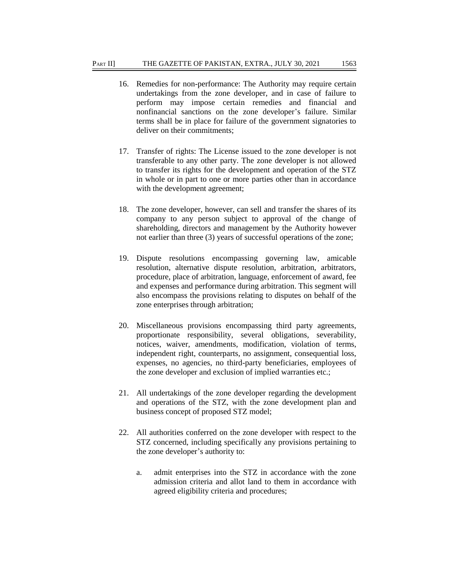- 16. Remedies for non-performance: The Authority may require certain undertakings from the zone developer, and in case of failure to perform may impose certain remedies and financial and nonfinancial sanctions on the zone developer's failure. Similar terms shall be in place for failure of the government signatories to deliver on their commitments;
- 17. Transfer of rights: The License issued to the zone developer is not transferable to any other party. The zone developer is not allowed to transfer its rights for the development and operation of the STZ in whole or in part to one or more parties other than in accordance with the development agreement;
- 18. The zone developer, however, can sell and transfer the shares of its company to any person subject to approval of the change of shareholding, directors and management by the Authority however not earlier than three (3) years of successful operations of the zone;
- 19. Dispute resolutions encompassing governing law, amicable resolution, alternative dispute resolution, arbitration, arbitrators, procedure, place of arbitration, language, enforcement of award, fee and expenses and performance during arbitration. This segment will also encompass the provisions relating to disputes on behalf of the zone enterprises through arbitration;
- 20. Miscellaneous provisions encompassing third party agreements, proportionate responsibility, several obligations, severability, notices, waiver, amendments, modification, violation of terms, independent right, counterparts, no assignment, consequential loss, expenses, no agencies, no third-party beneficiaries, employees of the zone developer and exclusion of implied warranties etc.;
- 21. All undertakings of the zone developer regarding the development and operations of the STZ, with the zone development plan and business concept of proposed STZ model;
- 22. All authorities conferred on the zone developer with respect to the STZ concerned, including specifically any provisions pertaining to the zone developer's authority to:
	- a. admit enterprises into the STZ in accordance with the zone admission criteria and allot land to them in accordance with agreed eligibility criteria and procedures;